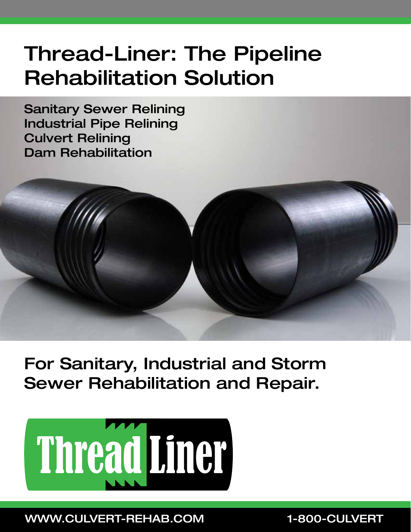# Thread-Liner: The Pipeline Rehabilitation Solution

Sanitary Sewer Relining Industrial Pipe Relining Culvert Relining Dam Rehabilitation



For Sanitary, Industrial and Storm Sewer Rehabilitation and Repair.



WWW.CULVERT-REHAB.COM 1-800-CULVERT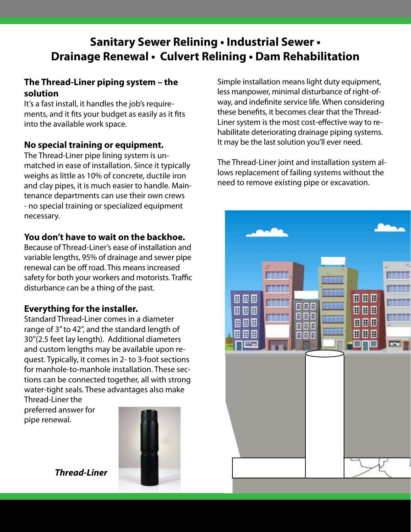# **Sanitary Sewer Relining • Industrial Sewer • Drainage Renewal • Culvert Relining • Dam Rehabilitation**

# **The Thread-Liner piping system – the solution**

It's a fast install, it handles the job's requirements, and it fits your budget as easily as it fits into the available work space.

## **No special training or equipment.**

The Thread-Liner pipe lining system is unmatched in ease of installation. Since it typically weighs as little as 10% of concrete, ductile iron and clay pipes, it is much easier to handle. Maintenance departments can use their own crews - no special training or specialized equipment necessary.

## **You don't have to wait on the backhoe.**

Because of Thread-Liner's ease of installation and variable lengths, 95% of drainage and sewer pipe renewal can be off road. This means increased safety for both your workers and motorists. Traffic disturbance can be a thing of the past.

## **Everything for the installer.**

Standard Thread-Liner comes in a diameter range of 3" to 42", and the standard length of 30"(2.5 feet lay length). Additional diameters and custom lengths may be available upon request. Typically, it comes in 2- to 3-foot sections for manhole-to-manhole installation. These sections can be connected together, all with strong water-tight seals. These advantages also make Thread-Liner the

preferred answer for pipe renewal.



*Thread-Liner*

Simple installation means light duty equipment, less manpower, minimal disturbance of right-ofway, and indefinite service life. When considering these benefits, it becomes clear that the Thread-Liner system is the most cost-effective way to rehabilitate deteriorating drainage piping systems. It may be the last solution you'll ever need.

The Thread-Liner joint and installation system allows replacement of failing systems without the need to remove existing pipe or excavation.

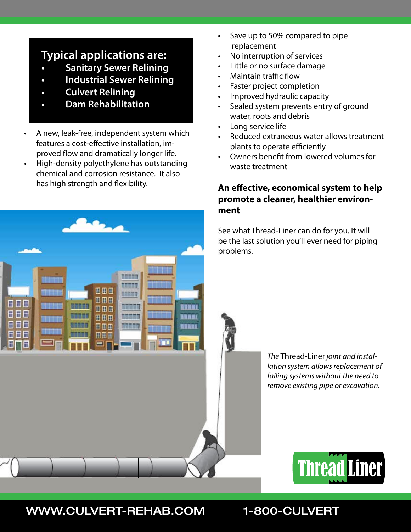# **Typical applications are:**

- **Sanitary Sewer Relining**
- **• Industrial Sewer Relining**
- **• Culvert Relining**
- **• Dam Rehabilitation**
- A new, leak-free, independent system which features a cost-effective installation, improved flow and dramatically longer life.
- High-density polyethylene has outstanding chemical and corrosion resistance. It also has high strength and flexibility.

田田田

8 D A

田田田

80B

田田田

888

日日日

F F

F 66 **Street** 

而有百名方

ar a s

deleter

**Biskup** 

numer

inner

aunus

- Save up to 50% compared to pipe replacement
- No interruption of services
- Little or no surface damage
- **Maintain traffic flow**
- Faster project completion
- Improved hydraulic capacity
- Sealed system prevents entry of ground water, roots and debris
- Long service life
- Reduced extraneous water allows treatment plants to operate efficiently
- Owners benefit from lowered volumes for waste treatment

# **An effective, economical system to help promote a cleaner, healthier environment**

See what Thread-Liner can do for you. It will be the last solution you'll ever need for piping problems.

> *The* Thread-Liner *joint and installation system allows replacement of failing systems without the need to remove existing pipe or excavation.*



# WWW.CULVERT-REHAB.COM 1-800-CULVERT